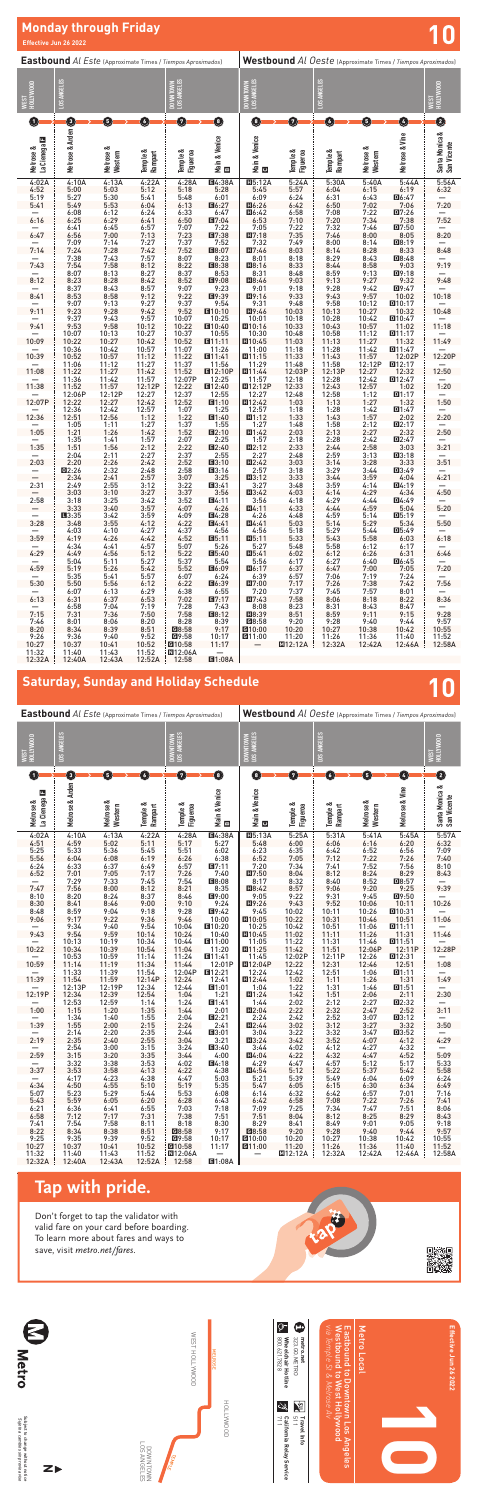12:32A 12:40A 12:43A 12:52A 12:58 E1:08A

# **Monday through Friday and Security Conduct of the Security Conduct of the Security Conduct of the Security Conduct of the Security Conduct of the Security Conduct of the Security Conduct of the Security Conduct of the Sec**

| <b>Eastbound</b> Al Este (Approximate Times / Tiempos Aproximados)                                                                                                                                                                                | Westbound Al Oeste (Approximate Times / Tiempos Aproximados) |                               |  |  |  |  |
|---------------------------------------------------------------------------------------------------------------------------------------------------------------------------------------------------------------------------------------------------|--------------------------------------------------------------|-------------------------------|--|--|--|--|
| LOS ANGELES<br>LOS ANGELES<br>DOWNTOWN<br>LOS ANGELES<br>DOWNTOWN<br>WEST<br>HOLLYWOOD                                                                                                                                                            |                                                              | HOLLYWOOD<br><b>LS3N</b>      |  |  |  |  |
| O<br>Ø<br>O<br>0<br>0<br>O<br>0<br>O<br>0                                                                                                                                                                                                         | Ø<br>O                                                       | €                             |  |  |  |  |
| Melrose & Arden<br>Main & Venice<br>Main & Venice<br><b>Bi</b><br>La Cienega <b>El</b><br>Melrose &<br>Melrose &<br>Temple &<br>Figueroa<br>Temple &<br>Figueroa<br>Temple &<br>Rampart<br>Temple &<br>Western<br>Rampart<br>$\underline{\omega}$ | Melrose & Vine<br>Melrose &<br>Western                       | Santa Monica &<br>San Vicente |  |  |  |  |
| <b>E4:38A</b><br>5:24A<br>5:30A<br>4:02A<br>4:10A<br>4:13A<br>4:22A<br>4:28A<br>$\Pi$ 5:12A<br>4:52<br>5:00<br>5:12<br>5:18<br>5:28<br>5:57<br>6:04<br>5:03<br>5:45                                                                               | 5:40A<br>5:44A<br>6:19<br>6:15                               | 5:56A<br>6:32                 |  |  |  |  |
| 5:30<br>6:09<br>5:19<br>5:27<br>5:41<br>5:48<br>6:24<br>6:31<br>6:01<br>5:53<br>目6:27<br>6:50<br>5:41<br>5:49<br>6:04<br>6:13<br>Ⅲ6:26<br>6:42                                                                                                    | 6:43<br>回6:47<br>7:02<br>7:06                                | 7:20                          |  |  |  |  |
| 6:12<br>6:24<br>6:47<br>6:58<br>6:08<br>6:33<br>7:08<br>Ⅲ6:42                                                                                                                                                                                     | 7:22<br>D7:26                                                |                               |  |  |  |  |
| 6:16<br>6:41<br>6:50<br>7:20<br>6:25<br>6:29<br>7:10<br>■7:04<br>6:53<br>6:57<br>7:22<br>7:22<br>7:32<br>6:41<br>6:45<br>7:07<br>7:05                                                                                                             | 7:38<br>7:34<br>7:46<br>D7:50                                | 7:52                          |  |  |  |  |
| 6:47<br>6:56<br>7:00<br>7:13<br>7:23<br>■7:38<br>7:35<br>7:46<br>$\Pi$ 7:18<br>7:14<br>7:37<br>7:52<br>7:32<br>7:49<br>8:00<br>7:09<br>7:27                                                                                                       | 8:00<br>8:05<br>8:14<br>回8:19                                | 8:20                          |  |  |  |  |
| 7:14<br>7:24<br>7:28<br>7:42<br>7:52<br>目8:07<br>8:03<br>8:14<br>$\Pi7:46$                                                                                                                                                                        | 8:28<br>8:33                                                 | 8:48                          |  |  |  |  |
| 7:43<br>7:57<br>7:38<br>8:07<br>8:18<br>8:29<br>8:23<br>8:01<br>7:43<br>7:58<br>8:12<br>7:54<br>8:22<br>8:33<br>8:44<br>■8:38<br>Ⅲ8:16                                                                                                            | 8:43<br>$DB:48$<br>9:03<br>8:58                              | 9:19                          |  |  |  |  |
| 8:07<br>8:27<br>8:37<br>8:59<br>8:13<br>8:53<br>8:31<br>8:48                                                                                                                                                                                      | 9:13<br>D9:18                                                |                               |  |  |  |  |
| 8:12<br>8:23<br>8:28<br>8:42<br>8:52<br>目9:08<br>9:03<br>9:13<br>Ⅲ8:46<br>8:37<br>8:43<br>8:57<br>9:18<br>9:28<br>9:07<br>9:23<br>9:01                                                                                                            | 9:27<br>9:32<br>9:42<br>D9:47                                | 9:48                          |  |  |  |  |
| 8:41<br>8:53<br>8:58<br>9:12<br>9:22<br>图9:39<br>9:33<br>9:43<br>III9:16<br>9:13<br>9:27<br>9:37<br>9:48<br>9:58<br>9:07<br>9:54<br>9:31                                                                                                          | 9:57<br>10:02<br>10:12<br>回10:17                             | 10:18                         |  |  |  |  |
| 9:11<br>9:52<br>9:28<br>9:42<br>10:13<br>9:23<br>10:03<br>■10:10<br>Ⅲ9:46                                                                                                                                                                         | 10:27<br>10:32                                               | 10:48                         |  |  |  |  |
| 9:37<br>9:57<br>10:07<br>10:18<br>10:28<br>9:43<br>10:25<br>10:01<br>9:41<br>9:58<br>9:53<br>10:12<br>10:22<br>■10:40<br>$\Pi$ 10:16<br>10:33<br>10:43                                                                                            | 10:42<br>回10:47<br>10:57<br>11:02                            | 11:18                         |  |  |  |  |
| 10:07<br>10:13<br>10:27<br>10:37<br>10:58<br>10:55<br>10:30<br>10:48                                                                                                                                                                              | 11:12<br>D11:17                                              |                               |  |  |  |  |
| 10:09<br>10:22<br>10:27<br>10:42<br>10:52<br>E11:11<br>$\Pi$ 10:45<br>11:03<br>11:13<br>10:57<br>11:07<br>11:26<br>10:36<br>10:42<br>11:18<br>11:28<br>11:00                                                                                      | 11:27<br>11:32<br>11:42<br>D11:47                            | 11:49                         |  |  |  |  |
| 10:39<br>11:22<br>11:12<br>10:52<br>10:57<br>图11:41<br>11:43<br>$\Pi$ 11:15<br>11:33                                                                                                                                                              | 11:57<br>12:02P                                              | 12:20P                        |  |  |  |  |
| 11:27<br>11:37<br>11:56<br>11:29<br>11:06<br>11:12<br>11:48<br>11:58<br>11:08<br>11:27<br>11:42<br>11:52<br><b>E12:10P</b><br>11:22<br>$\Pi$ 11:44<br>12:03P<br>12:13P                                                                            | 12:12P<br>D12:17<br>12:27<br>12:32                           | 12:50                         |  |  |  |  |
| 11:57<br>12:07P<br>11:36<br>11:42<br>12:25<br>12:18<br>12:28<br>11:57<br>11:38<br>11:57<br>12:12P<br>12:22<br>■12:40<br>12:33<br>12:43<br>11:52<br><b>E12:12P</b>                                                                                 | 12:42<br>回12:47<br>12:57<br>1:02                             | 1:20                          |  |  |  |  |
| 12:37<br>12:12P<br>12:27<br>12:48<br>12:58<br>12:06P<br>12:55<br>12:27                                                                                                                                                                            | 1:12<br>D1:17                                                |                               |  |  |  |  |
| 12:07P<br>12:42<br>12:27<br>1:13<br>12:22<br>12:52<br>B1:10<br>$\Pi$ 12:42<br>1:03<br>12:36<br>12:42<br>12:57<br>1:25<br>1:18<br>1:28<br>1:07<br>12:57                                                                                            | 1:32<br>1:27<br>1:42<br>D1:47                                | 1:50                          |  |  |  |  |
| 12:36<br>12:51<br>12:56<br>1:12<br>1:22<br>■1:40<br>1:33<br>1:43<br>$\Pi$ 1:12                                                                                                                                                                    | 1:57<br>2:02                                                 | 2:20                          |  |  |  |  |
| 1:11<br>1:27<br>1:37<br>1:55<br>1:48<br>1:58<br>1:05<br>1:27<br>1:05<br>1:42<br>1:52<br><b>E2:10</b><br>2:03<br>2:13<br>1:21<br>1:26<br>$\Pi$ 1:42                                                                                                | 2:12<br>D2:17<br>2:27<br>2:32                                | 2:50                          |  |  |  |  |
| 1:57<br>1:35<br>1:41<br>2:07<br>2:18<br>2:28<br>2:25<br>1:57<br>1:35<br>1:51<br>1:56<br>2:12<br>2:33<br>2:44<br>2:22<br>B2:40<br>$\Pi2:12$                                                                                                        | 2:42<br>D2:47<br>2:58<br>3:03                                | 3:21                          |  |  |  |  |
| 2:11<br>2:27<br>2:37<br>2:55<br>2:48<br>2:59<br>2:04<br>2:27                                                                                                                                                                                      | 3:13<br>$Q3:18$                                              |                               |  |  |  |  |
| 2:03<br>2:42<br>3:03<br>2:20<br>2:26<br>2:52<br><b>E3:10</b><br>$\Pi$ 2:42<br>3:14<br>3:18<br>3:29<br>2:32<br>2:48<br>2:58<br>13:16<br>2:57<br>12:26                                                                                              | 3:28<br>3:33<br>3:44<br>$\Pi$ 3:49                           | 3:51                          |  |  |  |  |
| 2:34<br>2:41<br>2:57<br>3:25<br>$\Pi 3:12$<br>3:33<br>3:44<br>3:07                                                                                                                                                                                | 3:59<br>4:04                                                 | 4:21                          |  |  |  |  |
| 2:31<br>2:55<br>3:12<br>3:22<br>■3:41<br>3:59<br>2:49<br>3:27<br>3:48<br>3:03<br>3:10<br>3:27<br>3:37<br>3:56<br>$\Pi$ 3:42<br>4:03<br>4:14                                                                                                       | D4:19<br>4:14<br>4:34<br>4:29                                | 4:50                          |  |  |  |  |
| 2:58<br>3:25<br>3:42<br>3:52<br>B4:11<br>4:29<br>3:18<br>3:56<br>4:18<br>3:33<br>3:40<br>3:57<br>4:26<br>4:07<br>4:33<br>4:44                                                                                                                     | 4:44<br>D4:49<br>4:59<br>5:04                                | 5:20                          |  |  |  |  |
| $\Pi$ 4:11<br>$\overline{\phantom{0}}$<br>4:09<br>4:59<br>$\overline{\phantom{0}}$<br>$\blacksquare 3:35$<br>3:42<br>3:59<br>■4:28<br>4:26<br>4:48                                                                                                | 5:14<br>$D5:19$                                              | $\qquad \qquad \qquad$        |  |  |  |  |
| 3:28<br>4:12<br>4:22<br><b>E4:41</b><br>5:14<br>3:48<br>3:55<br>$\Pi$ 4:41<br>5:03<br>4:37<br>4:10<br>4:27<br>4:56<br>4:56<br>5:18<br>4:03<br>$-$                                                                                                 | 5:29<br>5:34<br>5:44<br>$D5:49$                              | 5:50                          |  |  |  |  |
| $\frac{5:29}{5:43}$<br>3:59<br>4:42<br>4:52<br>4:19<br>4:26<br>IB5:11<br>$\Pi$ <sub>5:11</sub><br>5:33                                                                                                                                            | 5:58<br>6:03                                                 | 6:18                          |  |  |  |  |
| 4:57<br>5:07<br>5:26<br>5:27<br>5:58<br>4:34<br>4:41<br>5:48<br>4:29<br>4:49<br>4:56<br>5:12<br>5:22<br>目5:40<br>$\Pi$ <sub>5:41</sub><br>6:02<br>6:12                                                                                            | 6:12<br>6:17<br>6:31<br>6:26                                 | 6:46                          |  |  |  |  |
| 5:54<br>5:04<br>5:11<br>5:27<br>5:37<br>5:56<br>6:17<br>6:27<br>$\qquad \qquad -$                                                                                                                                                                 | 6:40<br>D6:45                                                |                               |  |  |  |  |
| 4:59<br>5:42<br>5:52<br>目6:09<br>6:37<br>6:47<br>5:19<br>5:26<br>$\Pi$ 6:17<br>5:35<br>5:41<br>5:57<br>6:24<br>6:39<br>6:57<br>7:06<br>6:07<br>$-$                                                                                                | 7:00<br>7:05<br>7:19<br>7:24                                 | 7:20                          |  |  |  |  |
| 5:30<br>$\Pi$ 7:00<br>7:17<br>5:50<br>5:56<br>6:12<br>6:22<br>■6:39<br>7:26<br>6:29<br>6:38<br>6:55<br>7:20<br>7:37<br>7:45                                                                                                                       | 7:38<br>7:42<br>7:57                                         | 7:56                          |  |  |  |  |
| 6:07<br>6:13<br>6:31<br>6:13<br>B7:17<br>$\Pi$ 7:43<br>7:58<br>6:37<br>6:53<br>7:02<br>8:06                                                                                                                                                       | 8:01<br>8:18<br>8:22                                         | 8:36                          |  |  |  |  |
| 7:43<br>6:58<br>7:04<br>7:19<br>7:28<br>8:08<br>8:23<br>8:31<br>$\overline{\phantom{0}}$<br>7:15<br>7:50<br>7:58<br>目8:12<br>Ⅲ8:39<br>8:59<br>7:31<br>7:36<br>8:51                                                                                | 8:43<br>8:47<br>9:11<br>9:15                                 | —<br>9:28                     |  |  |  |  |
| 8:28<br>8:39<br>G8:58<br>9:20<br>9:28<br>7:46<br>8:01<br>8:06<br>8:20                                                                                                                                                                             | 9:40<br>9:44                                                 | 9:57                          |  |  |  |  |
| 8:20<br>68:58<br>9:17<br>10:27<br>8:34<br>8:39<br>8:51<br>G10:00<br>10:20<br>9:26<br>9:40<br>9:52<br><b>G9:58</b><br>11:26<br>9:36<br>10:17<br>11:20<br>G11:00                                                                                    | 10:38<br>10:42<br>11:36<br>11:40                             | 10:55<br>11:52                |  |  |  |  |
| 10:27<br>10:37<br>10:41<br>10:52<br>Q10:58<br>11:17<br>MI2:12A<br>12:32A<br>11:32<br>11:43<br>11:52<br><b>N</b> 12:06A<br>11:40<br>$\overline{\phantom{m}}$                                                                                       | 12:42A<br>12:46A                                             | 12:58A                        |  |  |  |  |

Subject to change without notice

*Sujeto a cambios sin previo aviso*

Subject to change without notice<br>Subjeto a cambios sin previo aviso





| 5:25   | 5:33   | 5:36   | 5:45   | 5:51           | 6:02                     | 6:23         | 6:35    | 6:42   | 6:52   | 6:56             | 7:09              |
|--------|--------|--------|--------|----------------|--------------------------|--------------|---------|--------|--------|------------------|-------------------|
| 5:56   | 6:04   | 6:08   | 6:19   | 6:26           | 6:38                     | 6:52         | 7:05    | 7:12   | 7:22   | 7:26             | 7:40              |
| 6:24   | 6:33   | 6:37   | 6:49   | 6:57           | B7:11                    | 7:20         | 7:34    | 7:41   | 7:52   | 7:56             | 8:10              |
| 6:52   | 7:01   | 7:05   | 7:17   | 7:26           | 7:40                     | $\Pi$ 7:50   | 8:04    | 8:12   | 8:24   | 8:29             | 8:43              |
|        | 7:29   | 7:33   | 7:45   | 7:54           | 目8:08                    | 8:17         | 8:32    | 8:40   | 8:52   | $\mathbf{D}8:57$ |                   |
| 7:47   | 7:56   | 8:00   | 8:12   | 8:21           | 8:35                     | $\Pi$ 8:42   | 8:57    | 9:06   | 9:20   | 9:25             | 9:39              |
| 8:10   | 8:20   | 8:24   | 8:37   | 8:46           | 目9:00                    | 9:05         | 9:22    | 9:31   | 9:45   | D9:50            |                   |
| 8:30   | 8:41   | 8:46   | 9:00   | 9:10           | 9:24                     | $\Pi$ 9:26   | 9:43    | 9:52   | 10:06  | 10:11            | 10:26             |
| 8:48   | 8:59   | 9:04   | 9:18   | 9:28           | 目9:42                    | 9:45         | 10:02   | 10:11  | 10:26  | D10:31           |                   |
| 9:06   | 9:17   | 9:22   | 9:36   | 9:46           | 10:00                    | $\Pi$ 10:05  | 10:22   | 10:31  | 10:46  | 10:51            | 11:06             |
| $-$    | 9:34   | 9:40   | 9:54   | 10:04          | ■10:20                   | 10:25        | 10:42   | 10:51  | 11:06  | D11:11           | $\frac{-}{11:46}$ |
| 9:43   | 9:54   | 9:59   | 10:14  | 10:24          | 10:40                    | $\Pi$ 10:45  | 11:02   | 11:11  | 11:26  | 11:31            |                   |
|        | 10:13  | 10:19  | 10:34  | 10:44          | ■11:00                   | 11:05        | 11:22   | 11:31  | 11:46  | D11:51           |                   |
| 10:22  | 10:34  | 10:39  | 10:54  | 11:04          | 11:20                    | $\Pi$ 11:25  | 11:42   | 11:51  | 12:06P | 12:11P           | 12:28P            |
|        | 10:53  | 10:59  | 11:14  | 11:24          | ■11:41                   | 11:45        | 12:02P  | 12:11P | 12:26  | D12:31           |                   |
| 10:59  | 11:14  | 11:19  | 11:34  | 11:44          | 12:01P                   | $\Pi$ 12:04P | 12:22   | 12:31  | 12:46  | 12:51            | 1:08              |
|        | 11:33  | 11:39  | 11:54  | 12:04P         | ■12:21                   | 12:24        | 12:42   | 12:51  | 1:06   | D1:11            |                   |
| 11:39  | 11:54  | 11:59  | 12:14P | 12:24          | 12:41                    | Ⅲ12:44       | 1:02    | 1:11   | 1:26   | 1:31             | 1:49              |
|        | 12:13P | 12:19P | 12:34  | 12:44          | ■1:01                    | 1:04         | 1:22    | 1:31   | 1:46   | D1:51            |                   |
| 12:19P | 12:34  | 12:39  | 12:54  | 1:04           | 1:21                     | $\Pi$ 1:24   | 1:42    | 1:51   | 2:06   | 2:11             | 2:30              |
|        | 12:53  | 12:59  | 1:14   | 1:24           | ■1:41                    | 1:44         | 2:02    | 2:12   | 2:27   | D2:32            |                   |
| 1:00   | 1:15   | 1:20   | 1:35   | 1:44           | 2:01                     | $\Pi$ 2:04   | 2:22    | 2:32   | 2:47   | 2:52             | 3:11              |
|        | 1:34   | 1:40   | 1:55   | 2:04           | $\Pi2:21$                | 2:24         | 2:42    | 2:52   | 3:07   | $\Box 3:12$      |                   |
| 1:39   | 1:55   | 2:00   | 2:15   | 2:24           | 2:41                     | $\Pi$ 2:44   | 3:02    | 3:12   | 3:27   | 3:32             | 3:50              |
|        | 2:14   | 2:20   | 2:35   | 2:44           | ■3:01                    | 3:04         | 3:22    | 3:32   | 3:47   | $\Box 3:52$      |                   |
| 2:19   | 2:35   | 2:40   | 2:55   | 3:04           | 3:21                     | $\Pi$ 3:24   | 3:42    | 3:52   | 4:07   | 4:12             | 4:29              |
|        | 2:54   | 3:00   | 3:15   | 3:24           | ■3:40                    | 3:44         | 4:02    | 4:12   | 4:27   | 4:32             |                   |
| 2:59   | 3:15   | 3:20   | 3:35   | 3:44           | 4:00                     | $\Pi$ 4:04   | 4:22    | 4:32   | 4:47   | 4:52             | 5:09              |
|        | 3:32   | 3:38   | 3:53   | 4:02           | <b>E</b> I4:18           | 4:29         | 4:47    | 4:57   | 5:12   | 5:17             | 5:33              |
| 3:37   | 3:53   | 3:58   | 4:13   | 4:22           | 4:38                     | $\Pi$ 4:54   | 5:12    | 5:22   | 5:37   | 5:42             | 5:58              |
| $-$    | 4:17   | 4:23   | 4:38   | 4:47           | 5:03                     | 5:21         | 5:39    | 5:49   | 6:04   | 6:09             | 6:24              |
| 4:34   | 4:50   | 4:55   | 5:10   | п<br>5:19      | 5:35                     | 5:47         | 6:05    | 6:15   | 6:30   | 6:34             | 6:49              |
| 5:07   | 5:23   | 5:29   | 5:44   | 5:53           | 6:08                     | 6:14         | 6:32    | 6:42   | 6:57   | 7:01             | 7:16              |
| 5:43   | 5:59   | 6:05   | 6:20   | 6:28           | 6:43                     | 6:42         | 6:58    | 7:08   | 7:22   | 7:26             | 7:41              |
| 6:21   | 6:36   | 6:41   | 6:55   | 7:03           | 7:18                     | 7:09         | 7:25    | 7:34   | 7:47   | 7:51             | 8:06              |
| 6:58   | 7:12   | 7:17   | 7:31   | 7:38           | 7:51                     | 7:51         | 8:04    | 8:12   | 8:25   | 8:29             | 8:43              |
| 7:41   | 7:54   | 7:58   | 8:11   | 8:18           | 8:30                     | 8:29         | 8:41    | 8:49   | 9:01   | 9:05             | 9:18              |
| 8:22   | 8:34   | 8:38   | 8:51   | $\Box$ G8:58   | 9:17                     | 68:58        | 9:20    | 9:28   | 9:40   | 9:44             | 9:57              |
| 9:25   | 9:35   | 9:39   | 9:52   | G9:58          | 10:17                    | G10:00       | 10:20   | 10:27  | 10:38  | 10:42            | 10:55             |
| 10:27  | 10:37  | 10:41  | 10:52  | <b>G</b> 10:58 | 11:17                    | G11:00       | 11:20   | 11:26  | 11:36  | 11:40            | 11:52             |
| 11:32  | 11:40  | 11:43  | 11:52  | <b>M12:06A</b> | $\overline{\phantom{0}}$ |              | M12:12A | 12:32A | 12:42A | 12:46A           | 12:58A            |
| 12:32A | 12:40A | 12:43A |        | 12:52A 12:58   | $\Pi$ 1:08A              |              |         |        |        |                  |                   |

## **Saturday, Sunday and Holiday Schedule 10**

## **Tap with pride.**

Don't forget to tap the validator with valid fare on your card before boarding. To learn more about fares and ways to save, visit metro.net/fares.



**見遠慮**<br>溶液紫